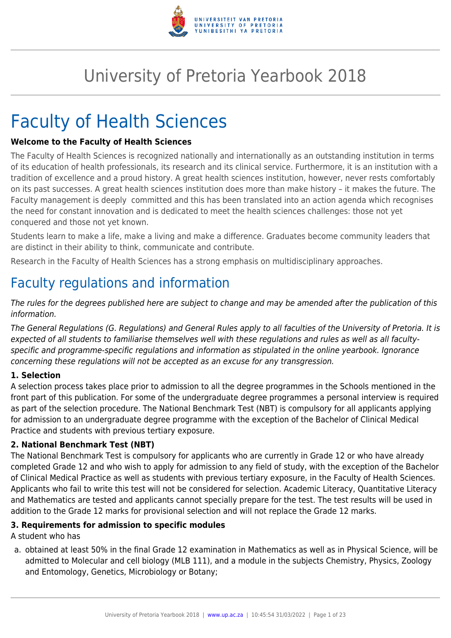

# University of Pretoria Yearbook 2018

# Faculty of Health Sciences

#### **Welcome to the Faculty of Health Sciences**

The Faculty of Health Sciences is recognized nationally and internationally as an outstanding institution in terms of its education of health professionals, its research and its clinical service. Furthermore, it is an institution with a tradition of excellence and a proud history. A great health sciences institution, however, never rests comfortably on its past successes. A great health sciences institution does more than make history – it makes the future. The Faculty management is deeply committed and this has been translated into an action agenda which recognises the need for constant innovation and is dedicated to meet the health sciences challenges: those not yet conquered and those not yet known.

Students learn to make a life, make a living and make a difference. Graduates become community leaders that are distinct in their ability to think, communicate and contribute.

Research in the Faculty of Health Sciences has a strong emphasis on multidisciplinary approaches.

# Faculty regulations and information

The rules for the degrees published here are subject to change and may be amended after the publication of this information.

The General Regulations (G. Regulations) and General Rules apply to all faculties of the University of Pretoria. It is expected of all students to familiarise themselves well with these regulations and rules as well as all facultyspecific and programme-specific regulations and information as stipulated in the online yearbook. Ignorance concerning these regulations will not be accepted as an excuse for any transgression.

#### **1. Selection**

A selection process takes place prior to admission to all the degree programmes in the Schools mentioned in the front part of this publication. For some of the undergraduate degree programmes a personal interview is required as part of the selection procedure. The National Benchmark Test (NBT) is compulsory for all applicants applying for admission to an undergraduate degree programme with the exception of the Bachelor of Clinical Medical Practice and students with previous tertiary exposure.

#### **2. National Benchmark Test (NBT)**

The National Benchmark Test is compulsory for applicants who are currently in Grade 12 or who have already completed Grade 12 and who wish to apply for admission to any field of study, with the exception of the Bachelor of Clinical Medical Practice as well as students with previous tertiary exposure, in the Faculty of Health Sciences. Applicants who fail to write this test will not be considered for selection. Academic Literacy, Quantitative Literacy and Mathematics are tested and applicants cannot specially prepare for the test. The test results will be used in addition to the Grade 12 marks for provisional selection and will not replace the Grade 12 marks.

#### **3. Requirements for admission to specific modules**

A student who has

a. obtained at least 50% in the final Grade 12 examination in Mathematics as well as in Physical Science, will be admitted to Molecular and cell biology (MLB 111), and a module in the subjects Chemistry, Physics, Zoology and Entomology, Genetics, Microbiology or Botany;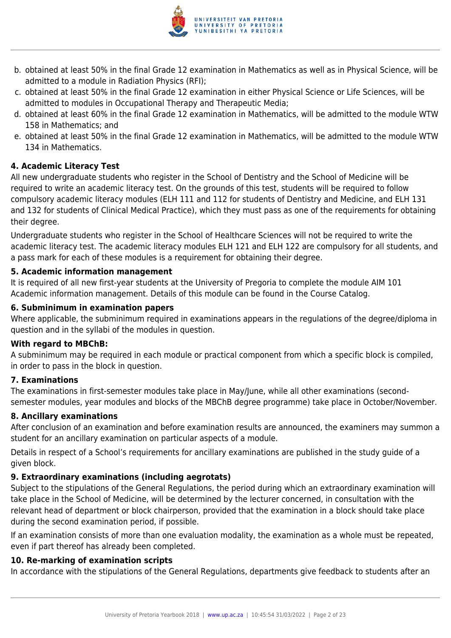

- b. obtained at least 50% in the final Grade 12 examination in Mathematics as well as in Physical Science, will be admitted to a module in Radiation Physics (RFI);
- c. obtained at least 50% in the final Grade 12 examination in either Physical Science or Life Sciences, will be admitted to modules in Occupational Therapy and Therapeutic Media;
- d. obtained at least 60% in the final Grade 12 examination in Mathematics, will be admitted to the module WTW 158 in Mathematics; and
- e. obtained at least 50% in the final Grade 12 examination in Mathematics, will be admitted to the module WTW 134 in Mathematics.

#### **4. Academic Literacy Test**

All new undergraduate students who register in the School of Dentistry and the School of Medicine will be required to write an academic literacy test. On the grounds of this test, students will be required to follow compulsory academic literacy modules (ELH 111 and 112 for students of Dentistry and Medicine, and ELH 131 and 132 for students of Clinical Medical Practice), which they must pass as one of the requirements for obtaining their degree.

Undergraduate students who register in the School of Healthcare Sciences will not be required to write the academic literacy test. The academic literacy modules ELH 121 and ELH 122 are compulsory for all students, and a pass mark for each of these modules is a requirement for obtaining their degree.

#### **5. Academic information management**

It is required of all new first-year students at the University of Pregoria to complete the module AIM 101 Academic information management. Details of this module can be found in the Course Catalog.

#### **6. Subminimum in examination papers**

Where applicable, the subminimum required in examinations appears in the regulations of the degree/diploma in question and in the syllabi of the modules in question.

#### **With regard to MBChB:**

A subminimum may be required in each module or practical component from which a specific block is compiled, in order to pass in the block in question.

#### **7. Examinations**

The examinations in first-semester modules take place in May/June, while all other examinations (secondsemester modules, year modules and blocks of the MBChB degree programme) take place in October/November.

#### **8. Ancillary examinations**

After conclusion of an examination and before examination results are announced, the examiners may summon a student for an ancillary examination on particular aspects of a module.

Details in respect of a School's requirements for ancillary examinations are published in the study guide of a given block.

#### **9. Extraordinary examinations (including aegrotats)**

Subject to the stipulations of the General Regulations, the period during which an extraordinary examination will take place in the School of Medicine, will be determined by the lecturer concerned, in consultation with the relevant head of department or block chairperson, provided that the examination in a block should take place during the second examination period, if possible.

If an examination consists of more than one evaluation modality, the examination as a whole must be repeated, even if part thereof has already been completed.

#### **10. Re-marking of examination scripts**

In accordance with the stipulations of the General Regulations, departments give feedback to students after an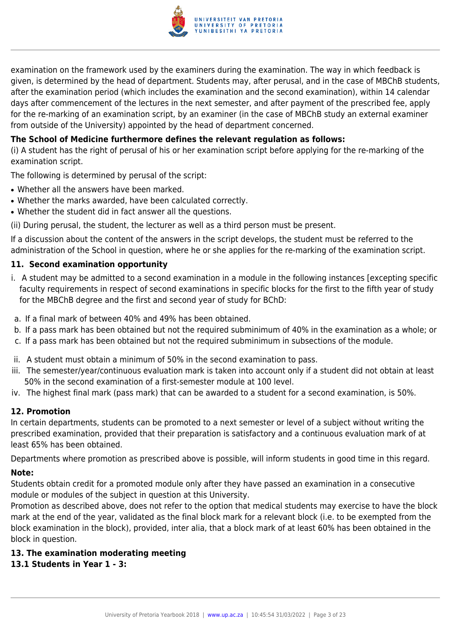

examination on the framework used by the examiners during the examination. The way in which feedback is given, is determined by the head of department. Students may, after perusal, and in the case of MBChB students, after the examination period (which includes the examination and the second examination), within 14 calendar days after commencement of the lectures in the next semester, and after payment of the prescribed fee, apply for the re-marking of an examination script, by an examiner (in the case of MBChB study an external examiner from outside of the University) appointed by the head of department concerned.

#### **The School of Medicine furthermore defines the relevant regulation as follows:**

(i) A student has the right of perusal of his or her examination script before applying for the re-marking of the examination script.

The following is determined by perusal of the script:

- Whether all the answers have been marked.
- Whether the marks awarded, have been calculated correctly.
- Whether the student did in fact answer all the questions.

(ii) During perusal, the student, the lecturer as well as a third person must be present.

If a discussion about the content of the answers in the script develops, the student must be referred to the administration of the School in question, where he or she applies for the re-marking of the examination script.

#### **11. Second examination opportunity**

- i. A student may be admitted to a second examination in a module in the following instances [excepting specific faculty requirements in respect of second examinations in specific blocks for the first to the fifth year of study for the MBChB degree and the first and second year of study for BChD:
- a. If a final mark of between 40% and 49% has been obtained.
- b. If a pass mark has been obtained but not the required subminimum of 40% in the examination as a whole; or
- c. If a pass mark has been obtained but not the required subminimum in subsections of the module.
- ii. A student must obtain a minimum of 50% in the second examination to pass.
- iii. The semester/year/continuous evaluation mark is taken into account only if a student did not obtain at least 50% in the second examination of a first-semester module at 100 level.
- iv. The highest final mark (pass mark) that can be awarded to a student for a second examination, is 50%.

#### **12. Promotion**

In certain departments, students can be promoted to a next semester or level of a subject without writing the prescribed examination, provided that their preparation is satisfactory and a continuous evaluation mark of at least 65% has been obtained.

Departments where promotion as prescribed above is possible, will inform students in good time in this regard.

#### **Note:**

Students obtain credit for a promoted module only after they have passed an examination in a consecutive module or modules of the subject in question at this University.

Promotion as described above, does not refer to the option that medical students may exercise to have the block mark at the end of the year, validated as the final block mark for a relevant block (i.e. to be exempted from the block examination in the block), provided, inter alia, that a block mark of at least 60% has been obtained in the block in question.

#### **13. The examination moderating meeting**

#### **13.1 Students in Year 1 - 3:**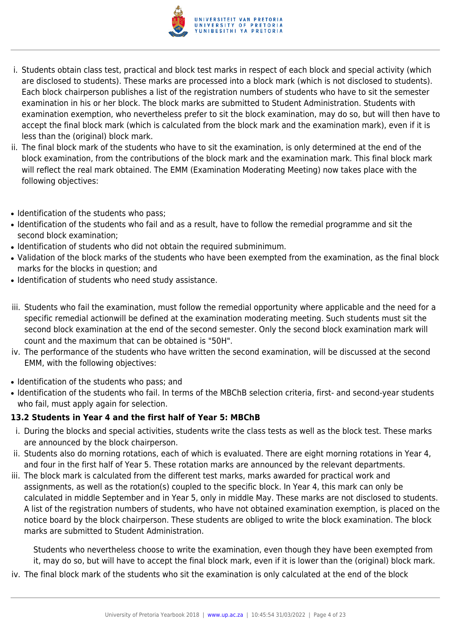

- i. Students obtain class test, practical and block test marks in respect of each block and special activity (which are disclosed to students). These marks are processed into a block mark (which is not disclosed to students). Each block chairperson publishes a list of the registration numbers of students who have to sit the semester examination in his or her block. The block marks are submitted to Student Administration. Students with examination exemption, who nevertheless prefer to sit the block examination, may do so, but will then have to accept the final block mark (which is calculated from the block mark and the examination mark), even if it is less than the (original) block mark.
- ii. The final block mark of the students who have to sit the examination, is only determined at the end of the block examination, from the contributions of the block mark and the examination mark. This final block mark will reflect the real mark obtained. The EMM (Examination Moderating Meeting) now takes place with the following objectives:
- Identification of the students who pass;
- Identification of the students who fail and as a result, have to follow the remedial programme and sit the second block examination;
- Identification of students who did not obtain the required subminimum.
- Validation of the block marks of the students who have been exempted from the examination, as the final block marks for the blocks in question; and
- Identification of students who need study assistance.
- iii. Students who fail the examination, must follow the remedial opportunity where applicable and the need for a specific remedial actionwill be defined at the examination moderating meeting. Such students must sit the second block examination at the end of the second semester. Only the second block examination mark will count and the maximum that can be obtained is "50H".
- iv. The performance of the students who have written the second examination, will be discussed at the second EMM, with the following objectives:
- Identification of the students who pass; and
- Identification of the students who fail. In terms of the MBChB selection criteria, first- and second-year students who fail, must apply again for selection.

#### **13.2 Students in Year 4 and the first half of Year 5: MBChB**

- i. During the blocks and special activities, students write the class tests as well as the block test. These marks are announced by the block chairperson.
- ii. Students also do morning rotations, each of which is evaluated. There are eight morning rotations in Year 4, and four in the first half of Year 5. These rotation marks are announced by the relevant departments.
- iii. The block mark is calculated from the different test marks, marks awarded for practical work and assignments, as well as the rotation(s) coupled to the specific block. In Year 4, this mark can only be calculated in middle September and in Year 5, only in middle May. These marks are not disclosed to students. A list of the registration numbers of students, who have not obtained examination exemption, is placed on the notice board by the block chairperson. These students are obliged to write the block examination. The block marks are submitted to Student Administration.

Students who nevertheless choose to write the examination, even though they have been exempted from it, may do so, but will have to accept the final block mark, even if it is lower than the (original) block mark.

iv. The final block mark of the students who sit the examination is only calculated at the end of the block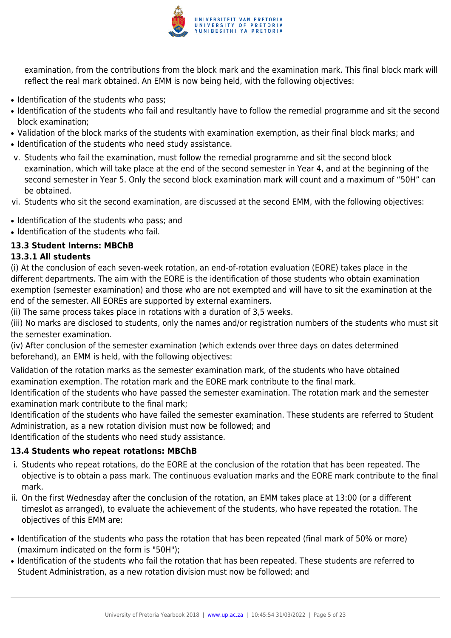

examination, from the contributions from the block mark and the examination mark. This final block mark will reflect the real mark obtained. An EMM is now being held, with the following objectives:

- Identification of the students who pass;
- Identification of the students who fail and resultantly have to follow the remedial programme and sit the second block examination;
- Validation of the block marks of the students with examination exemption, as their final block marks; and
- Identification of the students who need study assistance.
- v. Students who fail the examination, must follow the remedial programme and sit the second block examination, which will take place at the end of the second semester in Year 4, and at the beginning of the second semester in Year 5. Only the second block examination mark will count and a maximum of "50H" can be obtained.
- vi. Students who sit the second examination, are discussed at the second EMM, with the following objectives:
- Identification of the students who pass; and
- Identification of the students who fail.

#### **13.3 Student Interns: MBChB**

#### **13.3.1 All students**

(i) At the conclusion of each seven-week rotation, an end-of-rotation evaluation (EORE) takes place in the different departments. The aim with the EORE is the identification of those students who obtain examination exemption (semester examination) and those who are not exempted and will have to sit the examination at the end of the semester. All EOREs are supported by external examiners.

(ii) The same process takes place in rotations with a duration of 3,5 weeks.

(iii) No marks are disclosed to students, only the names and/or registration numbers of the students who must sit the semester examination.

(iv) After conclusion of the semester examination (which extends over three days on dates determined beforehand), an EMM is held, with the following objectives:

Validation of the rotation marks as the semester examination mark, of the students who have obtained examination exemption. The rotation mark and the EORE mark contribute to the final mark.

Identification of the students who have passed the semester examination. The rotation mark and the semester examination mark contribute to the final mark;

Identification of the students who have failed the semester examination. These students are referred to Student Administration, as a new rotation division must now be followed; and

Identification of the students who need study assistance.

#### **13.4 Students who repeat rotations: MBChB**

- i. Students who repeat rotations, do the EORE at the conclusion of the rotation that has been repeated. The objective is to obtain a pass mark. The continuous evaluation marks and the EORE mark contribute to the final mark.
- ii. On the first Wednesday after the conclusion of the rotation, an EMM takes place at 13:00 (or a different timeslot as arranged), to evaluate the achievement of the students, who have repeated the rotation. The objectives of this EMM are:
- Identification of the students who pass the rotation that has been repeated (final mark of 50% or more) (maximum indicated on the form is "50H");
- Identification of the students who fail the rotation that has been repeated. These students are referred to Student Administration, as a new rotation division must now be followed; and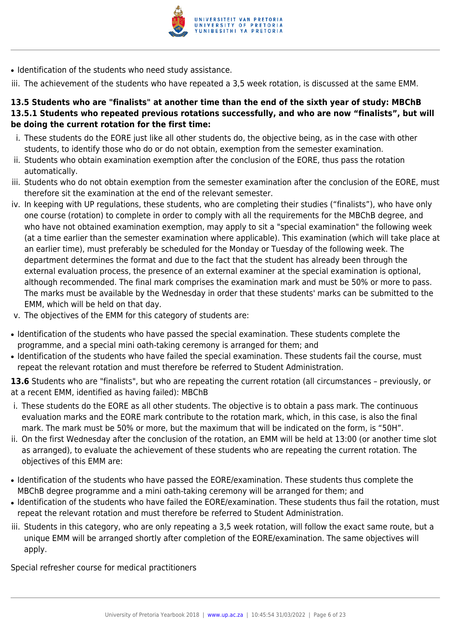

• Identification of the students who need study assistance.

iii. The achievement of the students who have repeated a 3,5 week rotation, is discussed at the same EMM.

#### **13.5 Students who are "finalists" at another time than the end of the sixth year of study: MBChB 13.5.1 Students who repeated previous rotations successfully, and who are now "finalists", but will be doing the current rotation for the first time:**

- i. These students do the EORE just like all other students do, the objective being, as in the case with other students, to identify those who do or do not obtain, exemption from the semester examination.
- ii. Students who obtain examination exemption after the conclusion of the EORE, thus pass the rotation automatically.
- iii. Students who do not obtain exemption from the semester examination after the conclusion of the EORE, must therefore sit the examination at the end of the relevant semester.
- iv. In keeping with UP regulations, these students, who are completing their studies ("finalists"), who have only one course (rotation) to complete in order to comply with all the requirements for the MBChB degree, and who have not obtained examination exemption, may apply to sit a "special examination" the following week (at a time earlier than the semester examination where applicable). This examination (which will take place at an earlier time), must preferably be scheduled for the Monday or Tuesday of the following week. The department determines the format and due to the fact that the student has already been through the external evaluation process, the presence of an external examiner at the special examination is optional, although recommended. The final mark comprises the examination mark and must be 50% or more to pass. The marks must be available by the Wednesday in order that these students' marks can be submitted to the EMM, which will be held on that day.
- v. The objectives of the EMM for this category of students are:
- Identification of the students who have passed the special examination. These students complete the programme, and a special mini oath-taking ceremony is arranged for them; and
- Identification of the students who have failed the special examination. These students fail the course, must repeat the relevant rotation and must therefore be referred to Student Administration.

**13.6** Students who are "finalists", but who are repeating the current rotation (all circumstances – previously, or at a recent EMM, identified as having failed): MBChB

- i. These students do the EORE as all other students. The objective is to obtain a pass mark. The continuous evaluation marks and the EORE mark contribute to the rotation mark, which, in this case, is also the final mark. The mark must be 50% or more, but the maximum that will be indicated on the form, is "50H".
- ii. On the first Wednesday after the conclusion of the rotation, an EMM will be held at 13:00 (or another time slot as arranged), to evaluate the achievement of these students who are repeating the current rotation. The objectives of this EMM are:
- Identification of the students who have passed the EORE/examination. These students thus complete the MBChB degree programme and a mini oath-taking ceremony will be arranged for them; and
- Identification of the students who have failed the EORE/examination. These students thus fail the rotation, must repeat the relevant rotation and must therefore be referred to Student Administration.
- iii. Students in this category, who are only repeating a 3,5 week rotation, will follow the exact same route, but a unique EMM will be arranged shortly after completion of the EORE/examination. The same objectives will apply.

Special refresher course for medical practitioners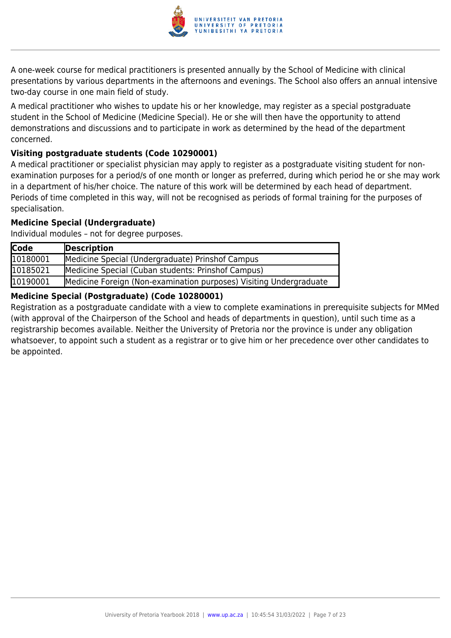

A one-week course for medical practitioners is presented annually by the School of Medicine with clinical presentations by various departments in the afternoons and evenings. The School also offers an annual intensive two-day course in one main field of study.

A medical practitioner who wishes to update his or her knowledge, may register as a special postgraduate student in the School of Medicine (Medicine Special). He or she will then have the opportunity to attend demonstrations and discussions and to participate in work as determined by the head of the department concerned.

#### **Visiting postgraduate students (Code 10290001)**

A medical practitioner or specialist physician may apply to register as a postgraduate visiting student for nonexamination purposes for a period/s of one month or longer as preferred, during which period he or she may work in a department of his/her choice. The nature of this work will be determined by each head of department. Periods of time completed in this way, will not be recognised as periods of formal training for the purposes of specialisation.

#### **Medicine Special (Undergraduate)**

Individual modules – not for degree purposes.

| <b>Code</b> | Description                                                        |
|-------------|--------------------------------------------------------------------|
| 10180001    | Medicine Special (Undergraduate) Prinshof Campus                   |
| 10185021    | Medicine Special (Cuban students: Prinshof Campus)                 |
| 10190001    | Medicine Foreign (Non-examination purposes) Visiting Undergraduate |

#### **Medicine Special (Postgraduate) (Code 10280001)**

Registration as a postgraduate candidate with a view to complete examinations in prerequisite subjects for MMed (with approval of the Chairperson of the School and heads of departments in question), until such time as a registrarship becomes available. Neither the University of Pretoria nor the province is under any obligation whatsoever, to appoint such a student as a registrar or to give him or her precedence over other candidates to be appointed.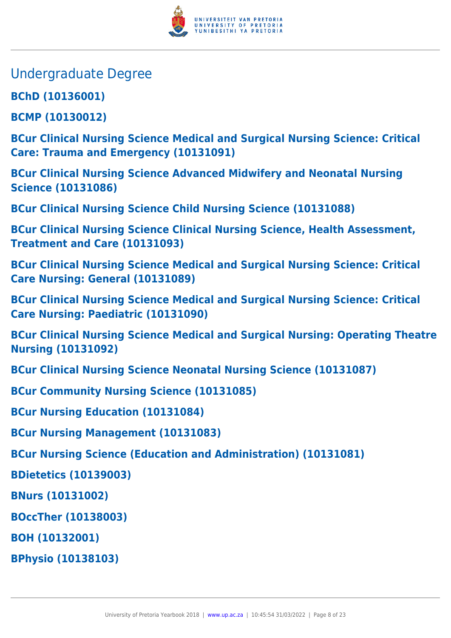

- Undergraduate Degree
- **BChD (10136001)**
- **BCMP (10130012)**
- **BCur Clinical Nursing Science Medical and Surgical Nursing Science: Critical Care: Trauma and Emergency (10131091)**
- **BCur Clinical Nursing Science Advanced Midwifery and Neonatal Nursing Science (10131086)**
- **BCur Clinical Nursing Science Child Nursing Science (10131088)**
- **BCur Clinical Nursing Science Clinical Nursing Science, Health Assessment, Treatment and Care (10131093)**
- **BCur Clinical Nursing Science Medical and Surgical Nursing Science: Critical Care Nursing: General (10131089)**
- **BCur Clinical Nursing Science Medical and Surgical Nursing Science: Critical Care Nursing: Paediatric (10131090)**
- **BCur Clinical Nursing Science Medical and Surgical Nursing: Operating Theatre Nursing (10131092)**
- **BCur Clinical Nursing Science Neonatal Nursing Science (10131087)**
- **BCur Community Nursing Science (10131085)**
- **BCur Nursing Education (10131084)**
- **BCur Nursing Management (10131083)**
- **BCur Nursing Science (Education and Administration) (10131081)**
- **BDietetics (10139003)**
- **BNurs (10131002)**
- **BOccTher (10138003)**
- **BOH (10132001)**
- **BPhysio (10138103)**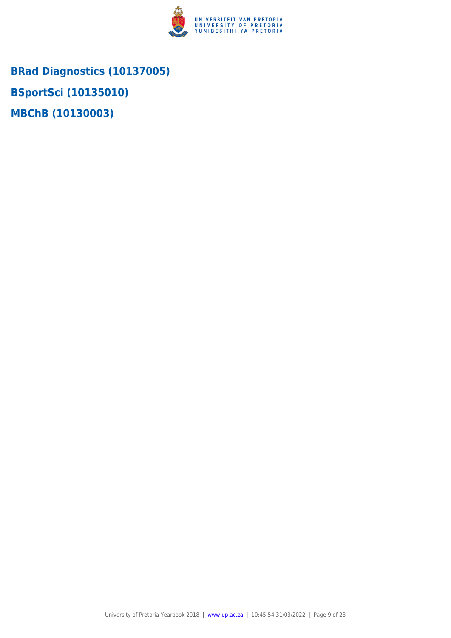

**BRad Diagnostics (10137005) BSportSci (10135010) MBChB (10130003)**

University of Pretoria Yearbook 2018 | [www.up.ac.za](https://www.up.ac.za/yearbooks/home) | 10:45:54 31/03/2022 | Page 9 of 23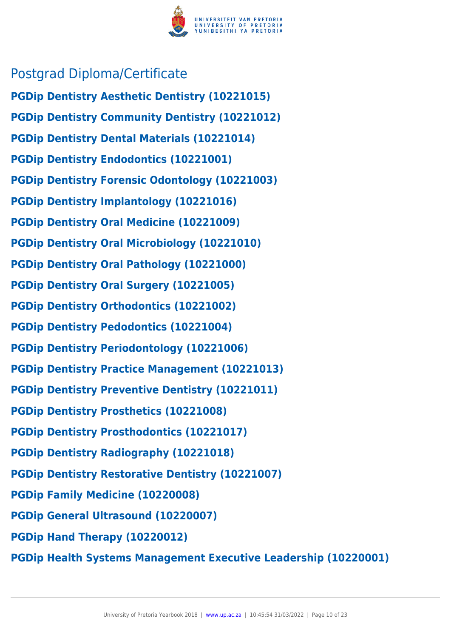

## Postgrad Diploma/Certificate

**PGDip Dentistry Aesthetic Dentistry (10221015) PGDip Dentistry Community Dentistry (10221012) PGDip Dentistry Dental Materials (10221014) PGDip Dentistry Endodontics (10221001) PGDip Dentistry Forensic Odontology (10221003) PGDip Dentistry Implantology (10221016) PGDip Dentistry Oral Medicine (10221009) PGDip Dentistry Oral Microbiology (10221010) PGDip Dentistry Oral Pathology (10221000) PGDip Dentistry Oral Surgery (10221005) PGDip Dentistry Orthodontics (10221002) PGDip Dentistry Pedodontics (10221004) PGDip Dentistry Periodontology (10221006) PGDip Dentistry Practice Management (10221013) PGDip Dentistry Preventive Dentistry (10221011) PGDip Dentistry Prosthetics (10221008) PGDip Dentistry Prosthodontics (10221017) PGDip Dentistry Radiography (10221018) PGDip Dentistry Restorative Dentistry (10221007) PGDip Family Medicine (10220008) PGDip General Ultrasound (10220007) PGDip Hand Therapy (10220012)**

**PGDip Health Systems Management Executive Leadership (10220001)**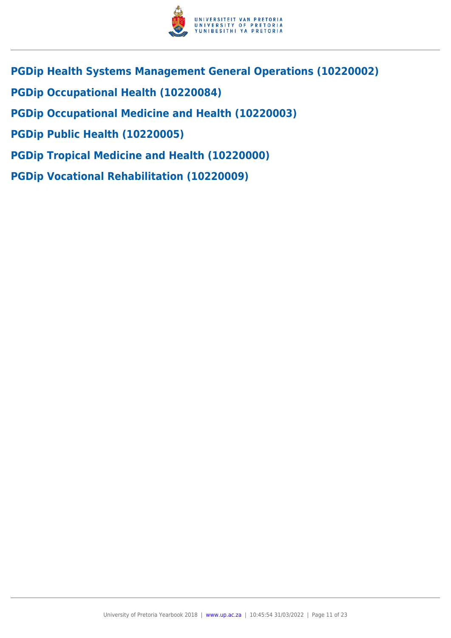

- **PGDip Health Systems Management General Operations (10220002)**
- **PGDip Occupational Health (10220084)**
- **PGDip Occupational Medicine and Health (10220003)**
- **PGDip Public Health (10220005)**
- **PGDip Tropical Medicine and Health (10220000)**
- **PGDip Vocational Rehabilitation (10220009)**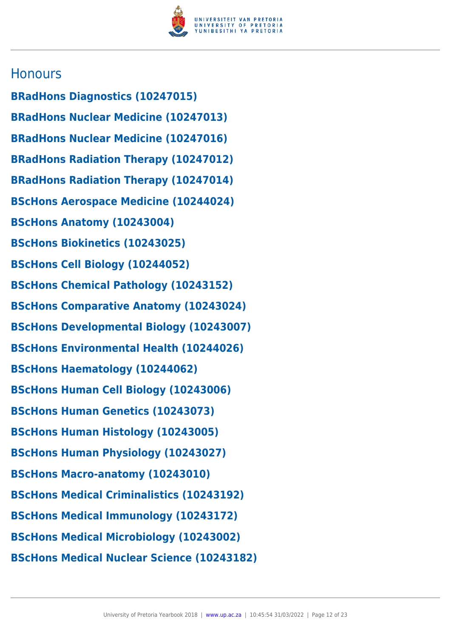

### **Honours**

**BRadHons Diagnostics (10247015) BRadHons Nuclear Medicine (10247013) BRadHons Nuclear Medicine (10247016) BRadHons Radiation Therapy (10247012) BRadHons Radiation Therapy (10247014) BScHons Aerospace Medicine (10244024) BScHons Anatomy (10243004) BScHons Biokinetics (10243025) BScHons Cell Biology (10244052) BScHons Chemical Pathology (10243152) BScHons Comparative Anatomy (10243024) BScHons Developmental Biology (10243007) BScHons Environmental Health (10244026) BScHons Haematology (10244062) BScHons Human Cell Biology (10243006) BScHons Human Genetics (10243073) BScHons Human Histology (10243005) BScHons Human Physiology (10243027) BScHons Macro-anatomy (10243010) BScHons Medical Criminalistics (10243192) BScHons Medical Immunology (10243172) BScHons Medical Microbiology (10243002) BScHons Medical Nuclear Science (10243182)**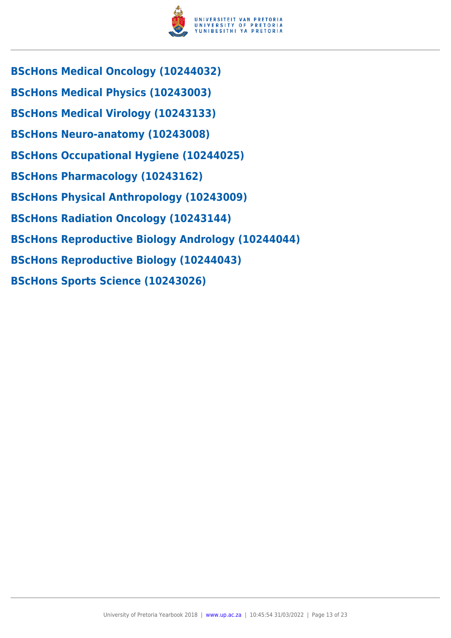

- **BScHons Medical Oncology (10244032)**
- **BScHons Medical Physics (10243003)**
- **BScHons Medical Virology (10243133)**
- **BScHons Neuro-anatomy (10243008)**
- **BScHons Occupational Hygiene (10244025)**
- **BScHons Pharmacology (10243162)**
- **BScHons Physical Anthropology (10243009)**
- **BScHons Radiation Oncology (10243144)**
- **BScHons Reproductive Biology Andrology (10244044)**
- **BScHons Reproductive Biology (10244043)**
- **BScHons Sports Science (10243026)**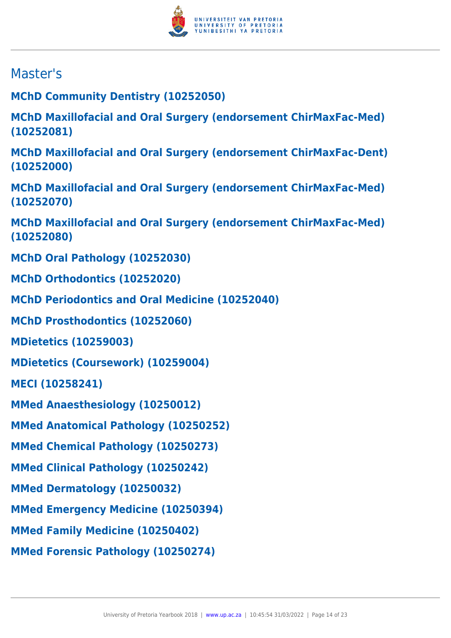

# Master's

**MChD Community Dentistry (10252050)**

**MChD Maxillofacial and Oral Surgery (endorsement ChirMaxFac-Med) (10252081)**

**MChD Maxillofacial and Oral Surgery (endorsement ChirMaxFac-Dent) (10252000)**

**MChD Maxillofacial and Oral Surgery (endorsement ChirMaxFac-Med) (10252070)**

**MChD Maxillofacial and Oral Surgery (endorsement ChirMaxFac-Med) (10252080)**

**MChD Oral Pathology (10252030)**

**MChD Orthodontics (10252020)**

**MChD Periodontics and Oral Medicine (10252040)**

**MChD Prosthodontics (10252060)**

**MDietetics (10259003)**

**MDietetics (Coursework) (10259004)**

**MECI (10258241)**

**MMed Anaesthesiology (10250012)**

**MMed Anatomical Pathology (10250252)**

**MMed Chemical Pathology (10250273)**

**MMed Clinical Pathology (10250242)**

**MMed Dermatology (10250032)**

**MMed Emergency Medicine (10250394)**

**MMed Family Medicine (10250402)**

**MMed Forensic Pathology (10250274)**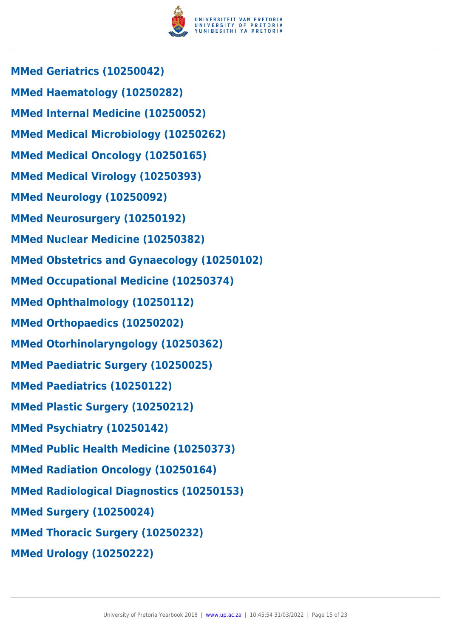

**MMed Geriatrics (10250042) MMed Haematology (10250282) MMed Internal Medicine (10250052) MMed Medical Microbiology (10250262) MMed Medical Oncology (10250165) MMed Medical Virology (10250393) MMed Neurology (10250092) MMed Neurosurgery (10250192) MMed Nuclear Medicine (10250382) MMed Obstetrics and Gynaecology (10250102) MMed Occupational Medicine (10250374) MMed Ophthalmology (10250112) MMed Orthopaedics (10250202) MMed Otorhinolaryngology (10250362) MMed Paediatric Surgery (10250025) MMed Paediatrics (10250122) MMed Plastic Surgery (10250212) MMed Psychiatry (10250142) MMed Public Health Medicine (10250373) MMed Radiation Oncology (10250164) MMed Radiological Diagnostics (10250153) MMed Surgery (10250024) MMed Thoracic Surgery (10250232) MMed Urology (10250222)**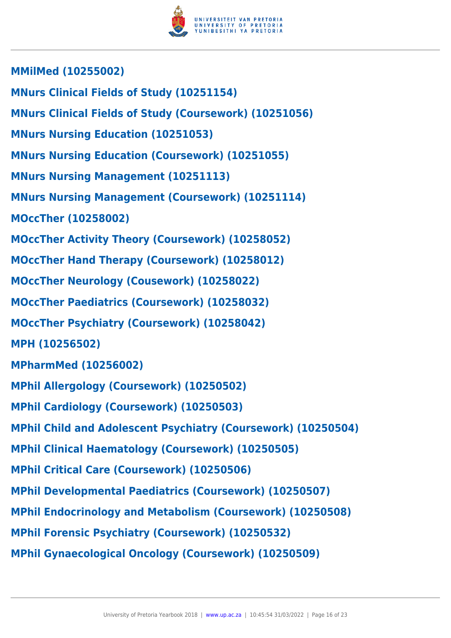

**MMilMed (10255002) MNurs Clinical Fields of Study (10251154) MNurs Clinical Fields of Study (Coursework) (10251056) MNurs Nursing Education (10251053) MNurs Nursing Education (Coursework) (10251055) MNurs Nursing Management (10251113) MNurs Nursing Management (Coursework) (10251114) MOccTher (10258002) MOccTher Activity Theory (Coursework) (10258052) MOccTher Hand Therapy (Coursework) (10258012) MOccTher Neurology (Cousework) (10258022) MOccTher Paediatrics (Coursework) (10258032) MOccTher Psychiatry (Coursework) (10258042) MPH (10256502) MPharmMed (10256002) MPhil Allergology (Coursework) (10250502) MPhil Cardiology (Coursework) (10250503) MPhil Child and Adolescent Psychiatry (Coursework) (10250504) MPhil Clinical Haematology (Coursework) (10250505) MPhil Critical Care (Coursework) (10250506) MPhil Developmental Paediatrics (Coursework) (10250507) MPhil Endocrinology and Metabolism (Coursework) (10250508) MPhil Forensic Psychiatry (Coursework) (10250532) MPhil Gynaecological Oncology (Coursework) (10250509)**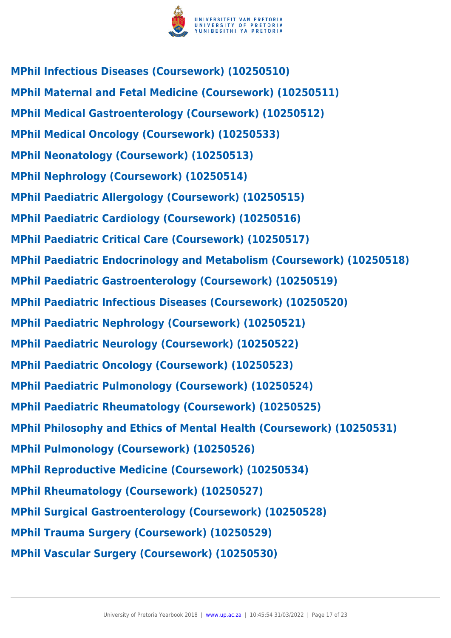

**MPhil Infectious Diseases (Coursework) (10250510) MPhil Maternal and Fetal Medicine (Coursework) (10250511) MPhil Medical Gastroenterology (Coursework) (10250512) MPhil Medical Oncology (Coursework) (10250533) MPhil Neonatology (Coursework) (10250513) MPhil Nephrology (Coursework) (10250514) MPhil Paediatric Allergology (Coursework) (10250515) MPhil Paediatric Cardiology (Coursework) (10250516) MPhil Paediatric Critical Care (Coursework) (10250517) MPhil Paediatric Endocrinology and Metabolism (Coursework) (10250518) MPhil Paediatric Gastroenterology (Coursework) (10250519) MPhil Paediatric Infectious Diseases (Coursework) (10250520) MPhil Paediatric Nephrology (Coursework) (10250521) MPhil Paediatric Neurology (Coursework) (10250522) MPhil Paediatric Oncology (Coursework) (10250523) MPhil Paediatric Pulmonology (Coursework) (10250524) MPhil Paediatric Rheumatology (Coursework) (10250525) MPhil Philosophy and Ethics of Mental Health (Coursework) (10250531) MPhil Pulmonology (Coursework) (10250526) MPhil Reproductive Medicine (Coursework) (10250534) MPhil Rheumatology (Coursework) (10250527) MPhil Surgical Gastroenterology (Coursework) (10250528) MPhil Trauma Surgery (Coursework) (10250529) MPhil Vascular Surgery (Coursework) (10250530)**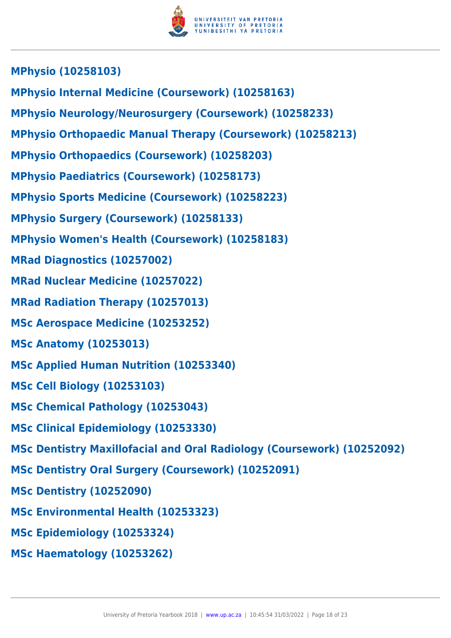

- **MPhysio Internal Medicine (Coursework) (10258163)**
- **MPhysio Neurology/Neurosurgery (Coursework) (10258233)**
- **MPhysio Orthopaedic Manual Therapy (Coursework) (10258213)**
- **MPhysio Orthopaedics (Coursework) (10258203)**
- **MPhysio Paediatrics (Coursework) (10258173)**
- **MPhysio Sports Medicine (Coursework) (10258223)**
- **MPhysio Surgery (Coursework) (10258133)**
- **MPhysio Women's Health (Coursework) (10258183)**
- **MRad Diagnostics (10257002)**
- **MRad Nuclear Medicine (10257022)**
- **MRad Radiation Therapy (10257013)**
- **MSc Aerospace Medicine (10253252)**
- **MSc Anatomy (10253013)**
- **MSc Applied Human Nutrition (10253340)**
- **MSc Cell Biology (10253103)**
- **MSc Chemical Pathology (10253043)**
- **MSc Clinical Epidemiology (10253330)**
- **MSc Dentistry Maxillofacial and Oral Radiology (Coursework) (10252092)**
- **MSc Dentistry Oral Surgery (Coursework) (10252091)**
- **MSc Dentistry (10252090)**
- **MSc Environmental Health (10253323)**
- **MSc Epidemiology (10253324)**
- **MSc Haematology (10253262)**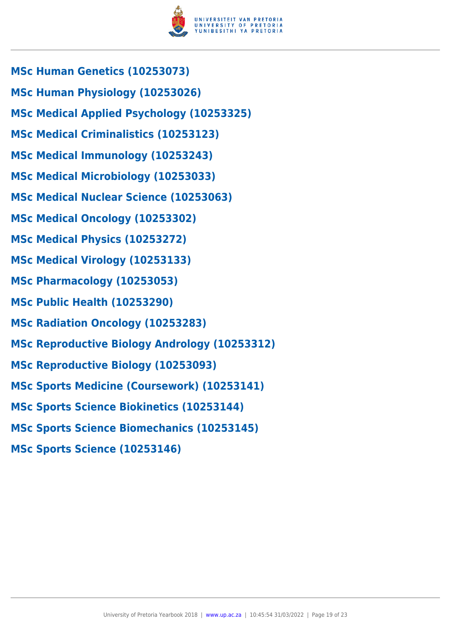

- **MSc Human Genetics (10253073)**
- **MSc Human Physiology (10253026)**
- **MSc Medical Applied Psychology (10253325)**
- **MSc Medical Criminalistics (10253123)**
- **MSc Medical Immunology (10253243)**
- **MSc Medical Microbiology (10253033)**
- **MSc Medical Nuclear Science (10253063)**
- **MSc Medical Oncology (10253302)**
- **MSc Medical Physics (10253272)**
- **MSc Medical Virology (10253133)**
- **MSc Pharmacology (10253053)**
- **MSc Public Health (10253290)**
- **MSc Radiation Oncology (10253283)**
- **MSc Reproductive Biology Andrology (10253312)**
- **MSc Reproductive Biology (10253093)**
- **MSc Sports Medicine (Coursework) (10253141)**
- **MSc Sports Science Biokinetics (10253144)**
- **MSc Sports Science Biomechanics (10253145)**
- **MSc Sports Science (10253146)**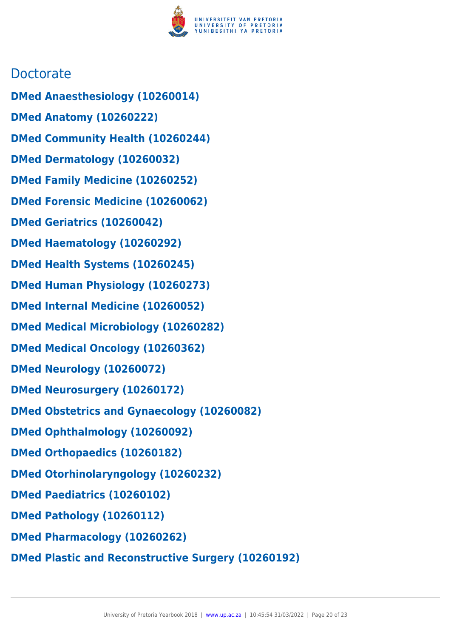

## **Doctorate**

- **DMed Anaesthesiology (10260014)**
- **DMed Anatomy (10260222)**
- **DMed Community Health (10260244)**
- **DMed Dermatology (10260032)**
- **DMed Family Medicine (10260252)**
- **DMed Forensic Medicine (10260062)**
- **DMed Geriatrics (10260042)**
- **DMed Haematology (10260292)**
- **DMed Health Systems (10260245)**
- **DMed Human Physiology (10260273)**
- **DMed Internal Medicine (10260052)**
- **DMed Medical Microbiology (10260282)**
- **DMed Medical Oncology (10260362)**
- **DMed Neurology (10260072)**
- **DMed Neurosurgery (10260172)**
- **DMed Obstetrics and Gynaecology (10260082)**
- **DMed Ophthalmology (10260092)**
- **DMed Orthopaedics (10260182)**
- **DMed Otorhinolaryngology (10260232)**
- **DMed Paediatrics (10260102)**
- **DMed Pathology (10260112)**
- **DMed Pharmacology (10260262)**
- **DMed Plastic and Reconstructive Surgery (10260192)**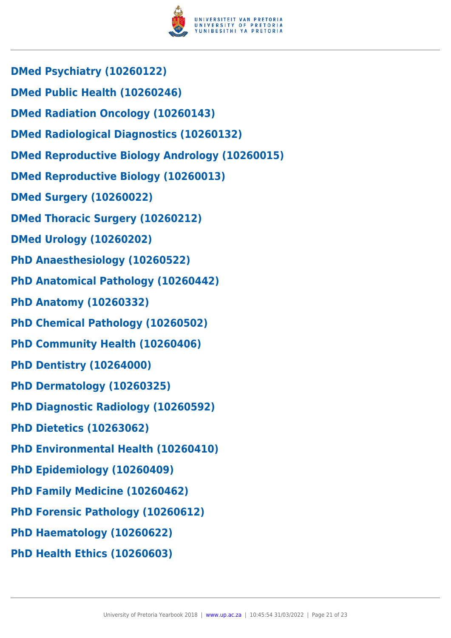

- **DMed Psychiatry (10260122)**
- **DMed Public Health (10260246)**
- **DMed Radiation Oncology (10260143)**
- **DMed Radiological Diagnostics (10260132)**
- **DMed Reproductive Biology Andrology (10260015)**
- **DMed Reproductive Biology (10260013)**
- **DMed Surgery (10260022)**
- **DMed Thoracic Surgery (10260212)**
- **DMed Urology (10260202)**
- **PhD Anaesthesiology (10260522)**
- **PhD Anatomical Pathology (10260442)**
- **PhD Anatomy (10260332)**
- **PhD Chemical Pathology (10260502)**
- **PhD Community Health (10260406)**
- **PhD Dentistry (10264000)**
- **PhD Dermatology (10260325)**
- **PhD Diagnostic Radiology (10260592)**
- **PhD Dietetics (10263062)**
- **PhD Environmental Health (10260410)**
- **PhD Epidemiology (10260409)**
- **PhD Family Medicine (10260462)**
- **PhD Forensic Pathology (10260612)**
- **PhD Haematology (10260622)**
- **PhD Health Ethics (10260603)**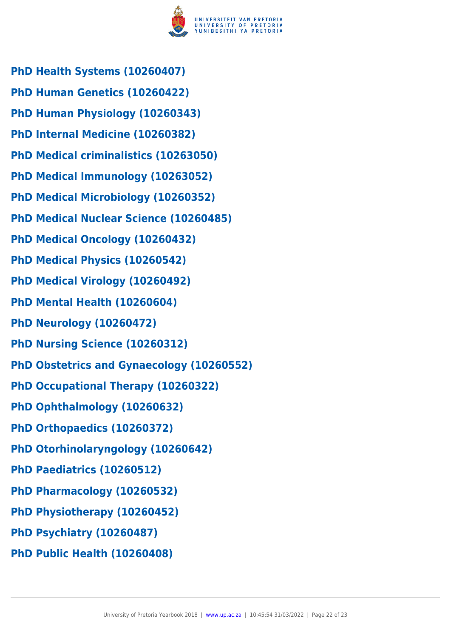

- **PhD Health Systems (10260407)**
- **PhD Human Genetics (10260422)**
- **PhD Human Physiology (10260343)**
- **PhD Internal Medicine (10260382)**
- **PhD Medical criminalistics (10263050)**
- **PhD Medical Immunology (10263052)**
- **PhD Medical Microbiology (10260352)**
- **PhD Medical Nuclear Science (10260485)**
- **PhD Medical Oncology (10260432)**
- **PhD Medical Physics (10260542)**
- **PhD Medical Virology (10260492)**
- **PhD Mental Health (10260604)**
- **PhD Neurology (10260472)**
- **PhD Nursing Science (10260312)**
- **PhD Obstetrics and Gynaecology (10260552)**
- **PhD Occupational Therapy (10260322)**
- **PhD Ophthalmology (10260632)**
- **PhD Orthopaedics (10260372)**
- **PhD Otorhinolaryngology (10260642)**
- **PhD Paediatrics (10260512)**
- **PhD Pharmacology (10260532)**
- **PhD Physiotherapy (10260452)**
- **PhD Psychiatry (10260487)**
- **PhD Public Health (10260408)**